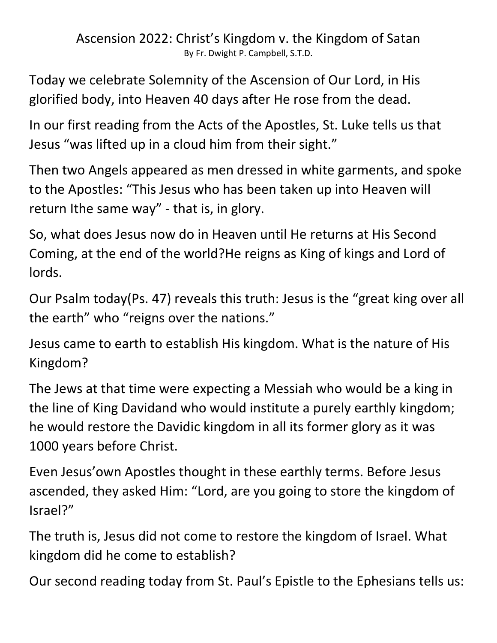Ascension 2022: Christ's Kingdom v. the Kingdom of Satan By Fr. Dwight P. Campbell, S.T.D.

Today we celebrate Solemnity of the Ascension of Our Lord, in His glorified body, into Heaven 40 days after He rose from the dead.

In our first reading from the Acts of the Apostles, St. Luke tells us that Jesus "was lifted up in a cloud him from their sight."

Then two Angels appeared as men dressed in white garments, and spoke to the Apostles: "This Jesus who has been taken up into Heaven will return Ithe same way" - that is, in glory.

So, what does Jesus now do in Heaven until He returns at His Second Coming, at the end of the world?He reigns as King of kings and Lord of lords.

Our Psalm today(Ps. 47) reveals this truth: Jesus is the "great king over all the earth" who "reigns over the nations."

Jesus came to earth to establish His kingdom. What is the nature of His Kingdom?

The Jews at that time were expecting a Messiah who would be a king in the line of King Davidand who would institute a purely earthly kingdom; he would restore the Davidic kingdom in all its former glory as it was 1000 years before Christ.

Even Jesus'own Apostles thought in these earthly terms. Before Jesus ascended, they asked Him: "Lord, are you going to store the kingdom of Israel?"

The truth is, Jesus did not come to restore the kingdom of Israel. What kingdom did he come to establish?

Our second reading today from St. Paul's Epistle to the Ephesians tells us: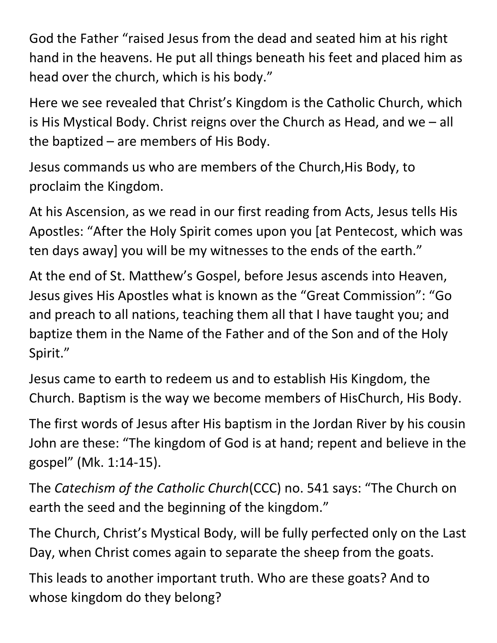God the Father "raised Jesus from the dead and seated him at his right hand in the heavens. He put all things beneath his feet and placed him as head over the church, which is his body."

Here we see revealed that Christ's Kingdom is the Catholic Church, which is His Mystical Body. Christ reigns over the Church as Head, and we – all the baptized – are members of His Body.

Jesus commands us who are members of the Church,His Body, to proclaim the Kingdom.

At his Ascension, as we read in our first reading from Acts, Jesus tells His Apostles: "After the Holy Spirit comes upon you [at Pentecost, which was ten days away] you will be my witnesses to the ends of the earth."

At the end of St. Matthew's Gospel, before Jesus ascends into Heaven, Jesus gives His Apostles what is known as the "Great Commission": "Go and preach to all nations, teaching them all that I have taught you; and baptize them in the Name of the Father and of the Son and of the Holy Spirit."

Jesus came to earth to redeem us and to establish His Kingdom, the Church. Baptism is the way we become members of HisChurch, His Body.

The first words of Jesus after His baptism in the Jordan River by his cousin John are these: "The kingdom of God is at hand; repent and believe in the gospel" (Mk. 1:14-15).

The *Catechism of the Catholic Church*(CCC) no. 541 says: "The Church on earth the seed and the beginning of the kingdom."

The Church, Christ's Mystical Body, will be fully perfected only on the Last Day, when Christ comes again to separate the sheep from the goats.

This leads to another important truth. Who are these goats? And to whose kingdom do they belong?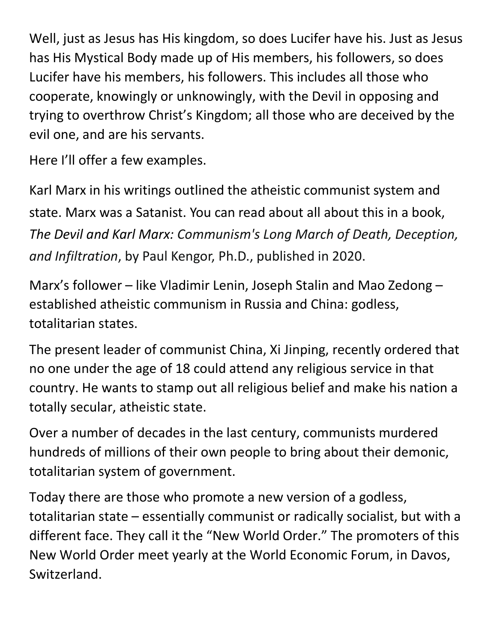Well, just as Jesus has His kingdom, so does Lucifer have his. Just as Jesus has His Mystical Body made up of His members, his followers, so does Lucifer have his members, his followers. This includes all those who cooperate, knowingly or unknowingly, with the Devil in opposing and trying to overthrow Christ's Kingdom; all those who are deceived by the evil one, and are his servants.

Here I'll offer a few examples.

Karl Marx in his writings outlined the atheistic communist system and state. Marx was a Satanist. You can read about all about this in a book, *The Devil and Karl Marx: Communism's Long March of Death, Deception, and Infiltration*, by Paul Kengor, Ph.D., published in 2020.

Marx's follower – like Vladimir Lenin, Joseph Stalin and Mao Zedong – established atheistic communism in Russia and China: godless, totalitarian states.

The present leader of communist China, Xi Jinping, recently ordered that no one under the age of 18 could attend any religious service in that country. He wants to stamp out all religious belief and make his nation a totally secular, atheistic state.

Over a number of decades in the last century, communists murdered hundreds of millions of their own people to bring about their demonic, totalitarian system of government.

Today there are those who promote a new version of a godless, totalitarian state – essentially communist or radically socialist, but with a different face. They call it the "New World Order." The promoters of this New World Order meet yearly at the World Economic Forum, in Davos, Switzerland.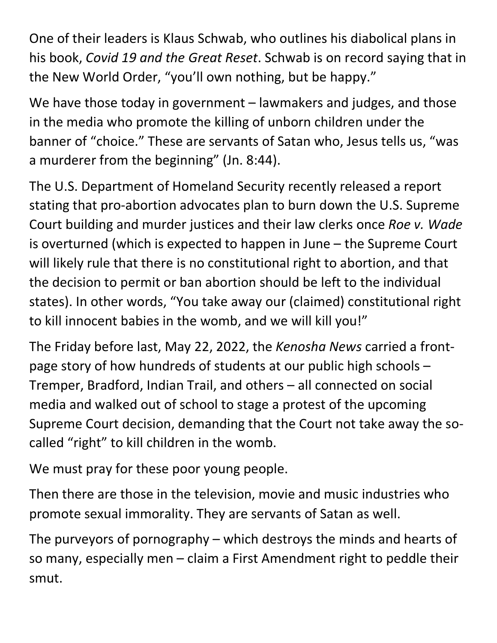One of their leaders is Klaus Schwab, who outlines his diabolical plans in his book, *Covid 19 and the Great Reset*. Schwab is on record saying that in the New World Order, "you'll own nothing, but be happy."

We have those today in government – lawmakers and judges, and those in the media who promote the killing of unborn children under the banner of "choice." These are servants of Satan who, Jesus tells us, "was a murderer from the beginning" (Jn. 8:44).

The U.S. Department of Homeland Security recently released a report stating that pro-abortion advocates plan to burn down the U.S. Supreme Court building and murder justices and their law clerks once *Roe v. Wade* is overturned (which is expected to happen in June – the Supreme Court will likely rule that there is no constitutional right to abortion, and that the decision to permit or ban abortion should be left to the individual states). In other words, "You take away our (claimed) constitutional right to kill innocent babies in the womb, and we will kill you!"

The Friday before last, May 22, 2022, the *Kenosha News* carried a frontpage story of how hundreds of students at our public high schools – Tremper, Bradford, Indian Trail, and others – all connected on social media and walked out of school to stage a protest of the upcoming Supreme Court decision, demanding that the Court not take away the socalled "right" to kill children in the womb.

We must pray for these poor young people.

Then there are those in the television, movie and music industries who promote sexual immorality. They are servants of Satan as well.

The purveyors of pornography – which destroys the minds and hearts of so many, especially men – claim a First Amendment right to peddle their smut.